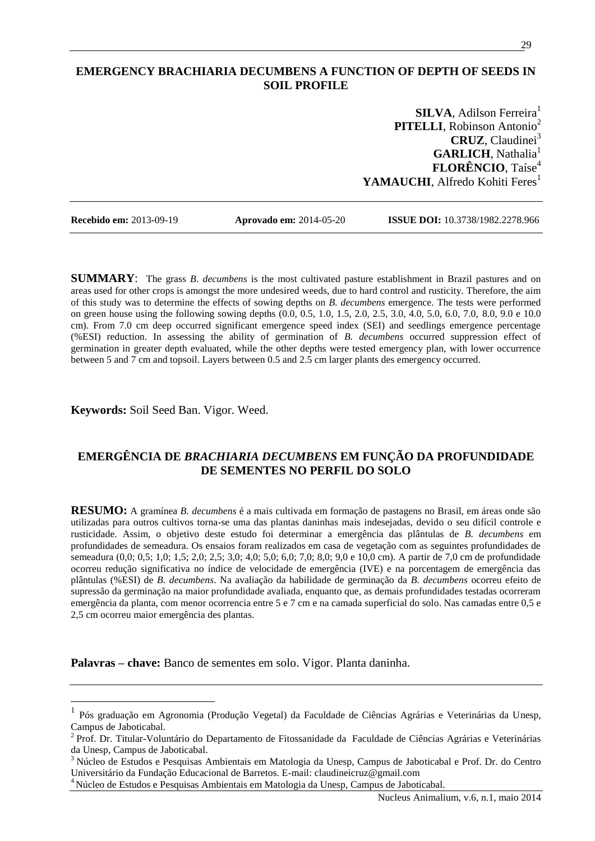## **EMERGENCY BRACHIARIA DECUMBENS A FUNCTION OF DEPTH OF SEEDS IN SOIL PROFILE**

**SILVA**, Adilson Ferreira<sup>1</sup> **PITELLI**, Robinson Antonio<sup>2</sup> **CRUZ**, Claudinei<sup>3</sup> **GARLICH**, Nathalia<sup>1</sup> **FLORÊNCIO**, Taíse<sup>4</sup> YAMAUCHI, Alfredo Kohiti Feres<sup>1</sup>

 $\overline{a}$ 

**Recebido em:** 2013-09-19 **Aprovado em:** 2014-05-20 **ISSUE DOI:** 10.3738/1982.2278.966

**SUMMARY**: The grass *B. decumbens* is the most cultivated pasture establishment in Brazil pastures and on areas used for other crops is amongst the more undesired weeds, due to hard control and rusticity. Therefore, the aim of this study was to determine the effects of sowing depths on *B. decumbens* emergence. The tests were performed on green house using the following sowing depths  $(0.0, 0.5, 1.0, 1.5, 2.0, 2.5, 3.0, 4.0, 5.0, 6.0, 7.0, 8.0, 9.0, e 10.0)$ cm). From 7.0 cm deep occurred significant emergence speed index (SEI) and seedlings emergence percentage (%ESI) reduction. In assessing the ability of germination of *B. decumbens* occurred suppression effect of germination in greater depth evaluated, while the other depths were tested emergency plan, with lower occurrence between 5 and 7 cm and topsoil. Layers between 0.5 and 2.5 cm larger plants des emergency occurred.

**Keywords:** Soil Seed Ban. Vigor. Weed.

# **EMERGÊNCIA DE** *BRACHIARIA DECUMBENS* **EM FUNÇÃO DA PROFUNDIDADE DE SEMENTES NO PERFIL DO SOLO**

**RESUMO:** A gramínea *B. decumbens* é a mais cultivada em formação de pastagens no Brasil, em áreas onde são utilizadas para outros cultivos torna-se uma das plantas daninhas mais indesejadas, devido o seu difícil controle e rusticidade. Assim, o objetivo deste estudo foi determinar a emergência das plântulas de *B. decumbens* em profundidades de semeadura. Os ensaios foram realizados em casa de vegetação com as seguintes profundidades de semeadura (0,0; 0,5; 1,0; 1,5; 2,0; 2,5; 3,0; 4,0; 5,0; 6,0; 7,0; 8,0; 9,0 e 10,0 cm). A partir de 7,0 cm de profundidade ocorreu redução significativa no índice de velocidade de emergência (IVE) e na porcentagem de emergência das plântulas (%ESI) de *B. decumbens*. Na avaliação da habilidade de germinação da *B. decumbens* ocorreu efeito de supressão da germinação na maior profundidade avaliada, enquanto que, as demais profundidades testadas ocorreram emergência da planta, com menor ocorrencia entre 5 e 7 cm e na camada superficial do solo. Nas camadas entre 0,5 e 2,5 cm ocorreu maior emergência des plantas.

**Palavras – chave:** Banco de sementes em solo. Vigor. Planta daninha.

<sup>3</sup> Núcleo de Estudos e Pesquisas Ambientais em Matologia da Unesp, Campus de Jaboticabal e Prof. Dr. do Centro Universitário da Fundação Educacional de Barretos. E-mail: claudineicruz@gmail.com

<sup>4</sup>Núcleo de Estudos e Pesquisas Ambientais em Matologia da Unesp, Campus de Jaboticabal.

<sup>1</sup> Pós graduação em Agronomia (Produção Vegetal) da Faculdade de Ciências Agrárias e Veterinárias da Unesp, Campus de Jaboticabal.

<sup>&</sup>lt;sup>2</sup> Prof. Dr. Titular-Voluntário do Departamento de Fitossanidade da Faculdade de Ciências Agrárias e Veterinárias da Unesp, Campus de Jaboticabal.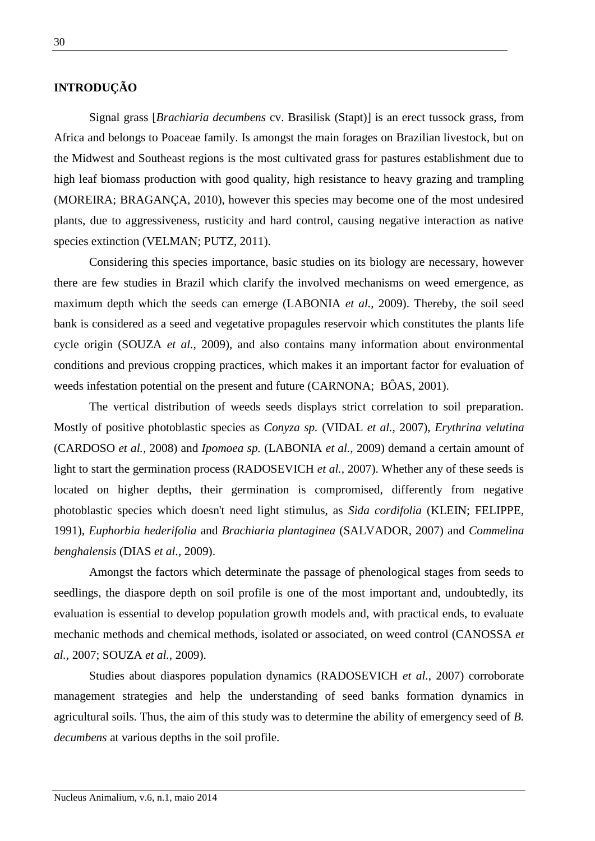## **INTRODUÇÃO**

Signal grass [*Brachiaria decumbens* cv. Brasilisk (Stapt)] is an erect tussock grass, from Africa and belongs to Poaceae family. Is amongst the main forages on Brazilian livestock, but on the Midwest and Southeast regions is the most cultivated grass for pastures establishment due to high leaf biomass production with good quality, high resistance to heavy grazing and trampling (MOREIRA; BRAGANÇA, 2010), however this species may become one of the most undesired plants, due to aggressiveness, rusticity and hard control, causing negative interaction as native species extinction (VELMAN; PUTZ, 2011).

Considering this species importance, basic studies on its biology are necessary, however there are few studies in Brazil which clarify the involved mechanisms on weed emergence, as maximum depth which the seeds can emerge (LABONIA *et al.,* 2009). Thereby, the soil seed bank is considered as a seed and vegetative propagules reservoir which constitutes the plants life cycle origin (SOUZA *et al.,* 2009), and also contains many information about environmental conditions and previous cropping practices, which makes it an important factor for evaluation of weeds infestation potential on the present and future (CARNONA; BÔAS, 2001).

The vertical distribution of weeds seeds displays strict correlation to soil preparation. Mostly of positive photoblastic species as *Conyza sp.* (VIDAL *et al.,* 2007), *Erythrina velutina* (CARDOSO *et al.,* 2008) and *Ipomoea sp.* (LABONIA *et al.,* 2009) demand a certain amount of light to start the germination process (RADOSEVICH *et al.,* 2007). Whether any of these seeds is located on higher depths, their germination is compromised, differently from negative photoblastic species which doesn't need light stimulus, as *Sida cordifolia* (KLEIN; FELIPPE, 1991), *Euphorbia hederifolia* and *Brachiaria plantaginea* (SALVADOR, 2007) and *Commelina benghalensis* (DIAS *et al.,* 2009).

Amongst the factors which determinate the passage of phenological stages from seeds to seedlings, the diaspore depth on soil profile is one of the most important and, undoubtedly, its evaluation is essential to develop population growth models and, with practical ends, to evaluate mechanic methods and chemical methods, isolated or associated, on weed control (CANOSSA *et al.,* 2007; SOUZA *et al.,* 2009).

Studies about diaspores population dynamics (RADOSEVICH *et al.,* 2007) corroborate management strategies and help the understanding of seed banks formation dynamics in agricultural soils. Thus, the aim of this study was to determine the ability of emergency seed of *B. decumbens* at various depths in the soil profile.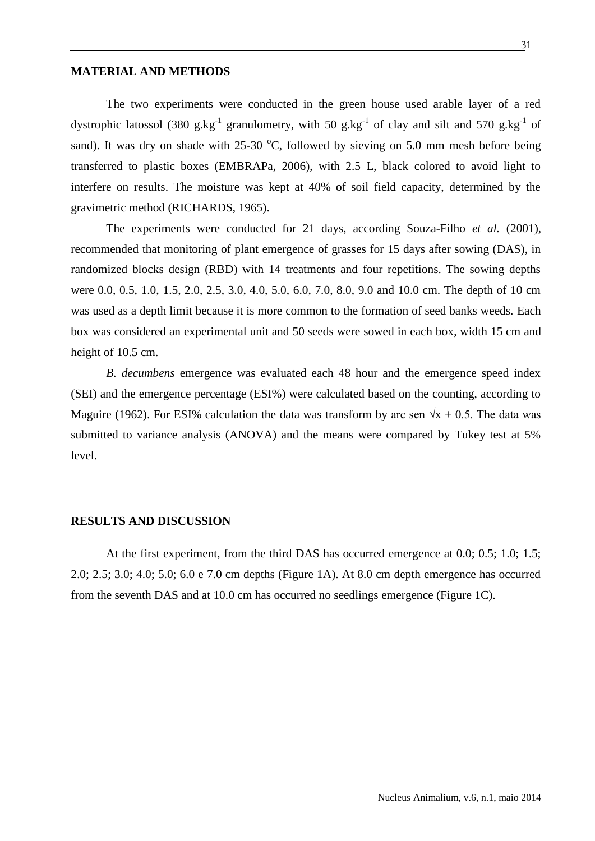### **MATERIAL AND METHODS**

The two experiments were conducted in the green house used arable layer of a red dystrophic latossol (380 g.kg<sup>-1</sup> granulometry, with 50 g.kg<sup>-1</sup> of clay and silt and 570 g.kg<sup>-1</sup> of sand). It was dry on shade with  $25{\text -}30$  °C, followed by sieving on 5.0 mm mesh before being transferred to plastic boxes (EMBRAPa, 2006), with 2.5 L, black colored to avoid light to interfere on results. The moisture was kept at 40% of soil field capacity, determined by the gravimetric method (RICHARDS, 1965).

The experiments were conducted for 21 days, according Souza-Filho *et al.* (2001), recommended that monitoring of plant emergence of grasses for 15 days after sowing (DAS), in randomized blocks design (RBD) with 14 treatments and four repetitions. The sowing depths were 0.0, 0.5, 1.0, 1.5, 2.0, 2.5, 3.0, 4.0, 5.0, 6.0, 7.0, 8.0, 9.0 and 10.0 cm. The depth of 10 cm was used as a depth limit because it is more common to the formation of seed banks weeds. Each box was considered an experimental unit and 50 seeds were sowed in each box, width 15 cm and height of 10.5 cm.

*B. decumbens* emergence was evaluated each 48 hour and the emergence speed index (SEI) and the emergence percentage (ESI%) were calculated based on the counting, according to Maguire (1962). For ESI% calculation the data was transform by arc sen  $\sqrt{x} + 0.5$ . The data was submitted to variance analysis (ANOVA) and the means were compared by Tukey test at 5% level.

### **RESULTS AND DISCUSSION**

At the first experiment, from the third DAS has occurred emergence at 0.0; 0.5; 1.0; 1.5; 2.0; 2.5; 3.0; 4.0; 5.0; 6.0 e 7.0 cm depths (Figure 1A). At 8.0 cm depth emergence has occurred from the seventh DAS and at 10.0 cm has occurred no seedlings emergence (Figure 1C).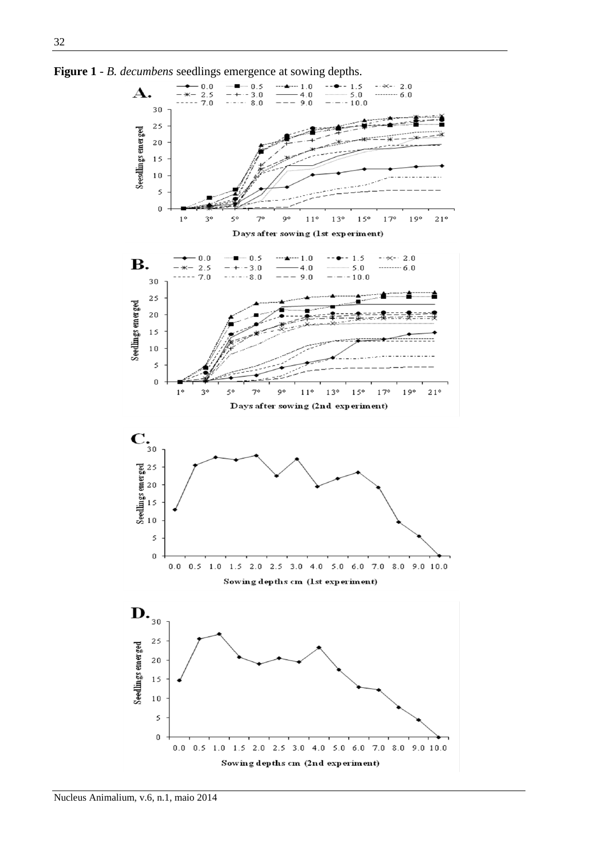

**Figure 1** - *B. decumbens* seedlings emergence at sowing depths.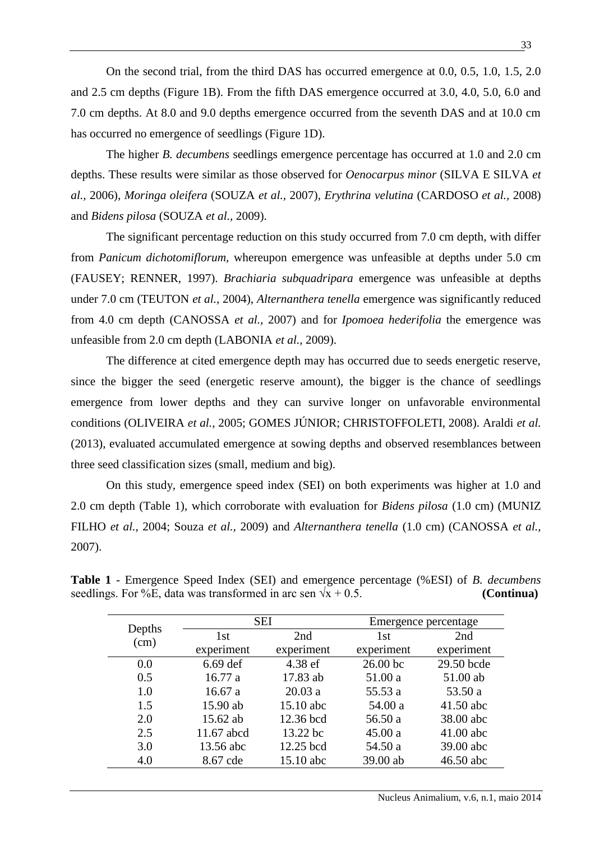On the second trial, from the third DAS has occurred emergence at 0.0, 0.5, 1.0, 1.5, 2.0 and 2.5 cm depths (Figure 1B). From the fifth DAS emergence occurred at 3.0, 4.0, 5.0, 6.0 and 7.0 cm depths. At 8.0 and 9.0 depths emergence occurred from the seventh DAS and at 10.0 cm has occurred no emergence of seedlings (Figure 1D).

The higher *B. decumbens* seedlings emergence percentage has occurred at 1.0 and 2.0 cm depths. These results were similar as those observed for *Oenocarpus minor* (SILVA E SILVA *et al.,* 2006), *Moringa oleifera* (SOUZA *et al.,* 2007), *Erythrina velutina* (CARDOSO *et al.,* 2008) and *Bidens pilosa* (SOUZA *et al.,* 2009).

The significant percentage reduction on this study occurred from 7.0 cm depth, with differ from *Panicum dichotomiflorum,* whereupon emergence was unfeasible at depths under 5.0 cm (FAUSEY; RENNER, 1997). *Brachiaria subquadripara* emergence was unfeasible at depths under 7.0 cm (TEUTON *et al.,* 2004), *Alternanthera tenella* emergence was significantly reduced from 4.0 cm depth (CANOSSA *et al.,* 2007) and for *Ipomoea hederifolia* the emergence was unfeasible from 2.0 cm depth (LABONIA *et al.,* 2009).

The difference at cited emergence depth may has occurred due to seeds energetic reserve, since the bigger the seed (energetic reserve amount), the bigger is the chance of seedlings emergence from lower depths and they can survive longer on unfavorable environmental conditions (OLIVEIRA *et al.,* 2005; GOMES JÚNIOR; CHRISTOFFOLETI, 2008). Araldi *et al.* (2013), evaluated accumulated emergence at sowing depths and observed resemblances between three seed classification sizes (small, medium and big).

On this study, emergence speed index (SEI) on both experiments was higher at 1.0 and 2.0 cm depth (Table 1), which corroborate with evaluation for *Bidens pilosa* (1.0 cm) (MUNIZ FILHO *et al.,* 2004; Souza *et al.,* 2009) and *Alternanthera tenella* (1.0 cm) (CANOSSA *et al.,* 2007).

| seedlings. For %E, data was transformed in arc sen $\sqrt{x}$ + 0.5. |     |                      | (Continua) |
|----------------------------------------------------------------------|-----|----------------------|------------|
| Denths.                                                              | SEI | Emergence percentage |            |

**Table 1** - Emergence Speed Index (SEI) and emergence percentage (%ESI) of *B. decumbens*

| Depths | SEI             |             | Emergence percentage |            |
|--------|-----------------|-------------|----------------------|------------|
| (cm)   | 1 <sub>st</sub> | 2nd         | 1 <sub>st</sub>      | 2nd        |
|        | experiment      | experiment  | experiment           | experiment |
| 0.0    | $6.69$ def      | 4.38 ef     | 26.00 bc             | 29.50 bcde |
| 0.5    | 16.77a          | 17.83 ab    | 51.00 a              | 51.00 ab   |
| 1.0    | 16.67a          | 20.03a      | 55.53 a              | 53.50 a    |
| 1.5    | 15.90 ab        | $15.10$ abc | 54.00 a              | 41.50 abc  |
| 2.0    | 15.62 ab        | 12.36 bcd   | 56.50 a              | 38.00 abc  |
| 2.5    | 11.67 abcd      | 13.22 bc    | 45.00 a              | 41.00 abc  |
| 3.0    | 13.56 abc       | 12.25 bcd   | 54.50 a              | 39.00 abc  |
| 4.0    | 8.67 cde        | 15.10 abc   | 39.00 ab             | 46.50 abc  |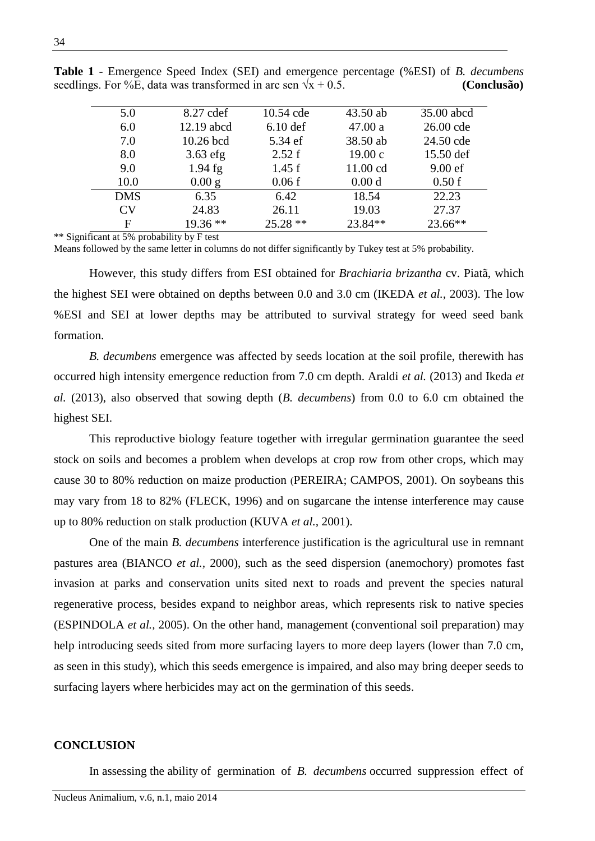| 5.0        | 8.27 cdef  | 10.54 cde  | $43.50$ ab        | 35.00 abcd |
|------------|------------|------------|-------------------|------------|
| 6.0        | 12.19 abcd | $6.10$ def | 47.00a            | 26.00 cde  |
| 7.0        | 10.26 bcd  | 5.34 ef    | 38.50 ab          | 24.50 cde  |
| 8.0        | $3.63$ efg | 2.52 f     | 19.00c            | 15.50 def  |
| 9.0        | $1.94$ fg  | 1.45f      | 11.00 cd          | $9.00$ ef  |
| 10.0       | $0.00$ g   | 0.06f      | 0.00 <sub>d</sub> | 0.50f      |
| <b>DMS</b> | 6.35       | 6.42       | 18.54             | 22.23      |
| <b>CV</b>  | 24.83      | 26.11      | 19.03             | 27.37      |
| F          | $19.36**$  | $25.28**$  | 23.84**           | $23.66**$  |

**Table 1** - Emergence Speed Index (SEI) and emergence percentage (%ESI) of *B. decumbens* seedlings. For %E, data was transformed in arc sen  $\sqrt{x} + 0.5$ . **(Conclusão)** 

\*\* Significant at 5% probability by F test

Means followed by the same letter in columns do not differ significantly by Tukey test at 5% probability.

However, this study differs from ESI obtained for *Brachiaria brizantha* cv. Piatã, which the highest SEI were obtained on depths between 0.0 and 3.0 cm (IKEDA *et al.,* 2003). The low %ESI and SEI at lower depths may be attributed to survival strategy for weed seed bank formation.

*B. decumbens* emergence was affected by seeds location at the soil profile, therewith has occurred high intensity emergence reduction from 7.0 cm depth. Araldi *et al.* (2013) and Ikeda *et al.* (2013), also observed that sowing depth (*B. decumbens*) from 0.0 to 6.0 cm obtained the highest SEI.

This reproductive biology feature together with irregular germination guarantee the seed stock on soils and becomes a problem when develops at crop row from other crops, which may cause 30 to 80% reduction on maize production (PEREIRA; CAMPOS, 2001). On soybeans this may vary from 18 to 82% (FLECK, 1996) and on sugarcane the intense interference may cause up to 80% reduction on stalk production (KUVA *et al.,* 2001).

One of the main *B. decumbens* interference justification is the agricultural use in remnant pastures area (BIANCO *et al.,* 2000), such as the seed dispersion (anemochory) promotes fast invasion at parks and conservation units sited next to roads and prevent the species natural regenerative process, besides expand to neighbor areas, which represents risk to native species (ESPINDOLA *et al.,* 2005). On the other hand, management (conventional soil preparation) may help introducing seeds sited from more surfacing layers to more deep layers (lower than 7.0 cm, as seen in this study), which this seeds emergence is impaired, and also may bring deeper seeds to surfacing layers where herbicides may act on the germination of this seeds.

#### **CONCLUSION**

In assessing the ability of germination of *B. decumbens* occurred suppression effect of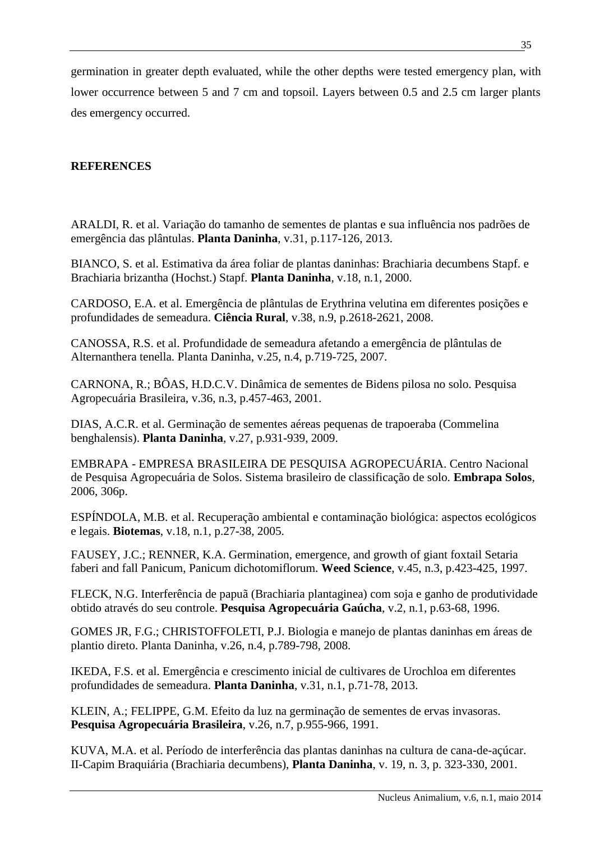germination in greater depth evaluated, while the other depths were tested emergency plan, with lower occurrence between 5 and 7 cm and topsoil. Layers between 0.5 and 2.5 cm larger plants des emergency occurred.

## **REFERENCES**

ARALDI, R. et al. Variação do tamanho de sementes de plantas e sua influência nos padrões de emergência das plântulas. **Planta Daninha**, v.31, p.117-126, 2013.

BIANCO, S. et al. Estimativa da área foliar de plantas daninhas: Brachiaria decumbens Stapf. e Brachiaria brizantha (Hochst.) Stapf. **Planta Daninha**, v.18, n.1, 2000.

CARDOSO, E.A. et al. Emergência de plântulas de Erythrina velutina em diferentes posições e profundidades de semeadura. **Ciência Rural**, v.38, n.9, p.2618-2621, 2008.

CANOSSA, R.S. et al. Profundidade de semeadura afetando a emergência de plântulas de Alternanthera tenella. Planta Daninha, v.25, n.4, p.719-725, 2007.

CARNONA, R.; BÔAS, H.D.C.V. Dinâmica de sementes de Bidens pilosa no solo. Pesquisa Agropecuária Brasileira, v.36, n.3, p.457-463, 2001.

DIAS, A.C.R. et al. Germinação de sementes aéreas pequenas de trapoeraba (Commelina benghalensis). **Planta Daninha**, v.27, p.931-939, 2009.

EMBRAPA - EMPRESA BRASILEIRA DE PESQUISA AGROPECUÁRIA. Centro Nacional de Pesquisa Agropecuária de Solos. Sistema brasileiro de classificação de solo. **Embrapa Solos**, 2006, 306p.

ESPÍNDOLA, M.B. et al. Recuperação ambiental e contaminação biológica: aspectos ecológicos e legais. **Biotemas**, v.18, n.1, p.27-38, 2005.

FAUSEY, J.C.; RENNER, K.A. Germination, emergence, and growth of giant foxtail Setaria faberi and fall Panicum, Panicum dichotomiflorum. **Weed Science**, v.45, n.3, p.423-425, 1997.

FLECK, N.G. Interferência de papuã (Brachiaria plantaginea) com soja e ganho de produtividade obtido através do seu controle. **Pesquisa Agropecuária Gaúcha**, v.2, n.1, p.63-68, 1996.

GOMES JR, F.G.; CHRISTOFFOLETI, P.J. Biologia e manejo de plantas daninhas em áreas de plantio direto. Planta Daninha, v.26, n.4, p.789-798, 2008.

IKEDA, F.S. et al. Emergência e crescimento inicial de cultivares de Urochloa em diferentes profundidades de semeadura. **Planta Daninha**, v.31, n.1, p.71-78, 2013.

KLEIN, A.; FELIPPE, G.M. Efeito da luz na germinação de sementes de ervas invasoras. **Pesquisa Agropecuária Brasileira**, v.26, n.7, p.955-966, 1991.

KUVA, M.A. et al. Período de interferência das plantas daninhas na cultura de cana-de-açúcar. II-Capim Braquiária (Brachiaria decumbens), **Planta Daninha**, v. 19, n. 3, p. 323-330, 2001.